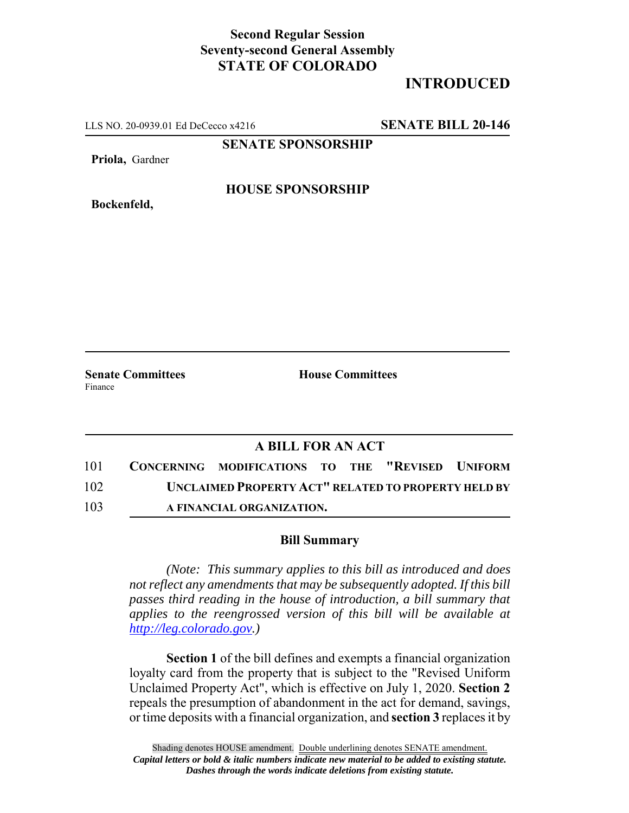## **Second Regular Session Seventy-second General Assembly STATE OF COLORADO**

## **INTRODUCED**

LLS NO. 20-0939.01 Ed DeCecco x4216 **SENATE BILL 20-146**

**SENATE SPONSORSHIP**

**Priola,** Gardner

**HOUSE SPONSORSHIP**

**Bockenfeld,**

**Senate Committees House Committees** Finance

## **A BILL FOR AN ACT**

| 101 | CONCERNING MODIFICATIONS TO THE "REVISED UNIFORM    |  |  |
|-----|-----------------------------------------------------|--|--|
| 102 | UNCLAIMED PROPERTY ACT" RELATED TO PROPERTY HELD BY |  |  |
| 103 | A FINANCIAL ORGANIZATION.                           |  |  |

## **Bill Summary**

*(Note: This summary applies to this bill as introduced and does not reflect any amendments that may be subsequently adopted. If this bill passes third reading in the house of introduction, a bill summary that applies to the reengrossed version of this bill will be available at http://leg.colorado.gov.)*

**Section 1** of the bill defines and exempts a financial organization loyalty card from the property that is subject to the "Revised Uniform Unclaimed Property Act", which is effective on July 1, 2020. **Section 2** repeals the presumption of abandonment in the act for demand, savings, or time deposits with a financial organization, and **section 3** replaces it by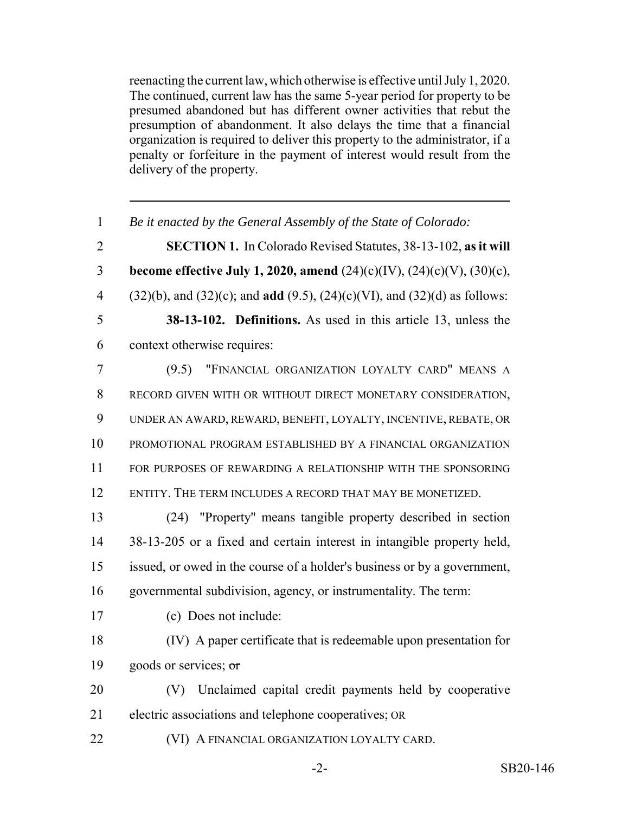reenacting the current law, which otherwise is effective until July 1, 2020. The continued, current law has the same 5-year period for property to be presumed abandoned but has different owner activities that rebut the presumption of abandonment. It also delays the time that a financial organization is required to deliver this property to the administrator, if a penalty or forfeiture in the payment of interest would result from the delivery of the property.

| $\mathbf{1}$   | Be it enacted by the General Assembly of the State of Colorado:                                |  |  |  |  |
|----------------|------------------------------------------------------------------------------------------------|--|--|--|--|
| $\overline{2}$ | <b>SECTION 1.</b> In Colorado Revised Statutes, 38-13-102, as it will                          |  |  |  |  |
| 3              | become effective July 1, 2020, amend $(24)(c)(IV)$ , $(24)(c)(V)$ , $(30)(c)$ ,                |  |  |  |  |
| $\overline{4}$ | $(32)(b)$ , and $(32)(c)$ ; and <b>add</b> $(9.5)$ , $(24)(c)(VI)$ , and $(32)(d)$ as follows: |  |  |  |  |
| 5              | <b>38-13-102. Definitions.</b> As used in this article 13, unless the                          |  |  |  |  |
| 6              | context otherwise requires:                                                                    |  |  |  |  |
| $\tau$         | "FINANCIAL ORGANIZATION LOYALTY CARD" MEANS A<br>(9.5)                                         |  |  |  |  |
| 8              | RECORD GIVEN WITH OR WITHOUT DIRECT MONETARY CONSIDERATION,                                    |  |  |  |  |
| 9              | UNDER AN AWARD, REWARD, BENEFIT, LOYALTY, INCENTIVE, REBATE, OR                                |  |  |  |  |
| 10             | PROMOTIONAL PROGRAM ESTABLISHED BY A FINANCIAL ORGANIZATION                                    |  |  |  |  |
| 11             | FOR PURPOSES OF REWARDING A RELATIONSHIP WITH THE SPONSORING                                   |  |  |  |  |
| 12             | ENTITY. THE TERM INCLUDES A RECORD THAT MAY BE MONETIZED.                                      |  |  |  |  |
| 13             | (24) "Property" means tangible property described in section                                   |  |  |  |  |
| 14             | 38-13-205 or a fixed and certain interest in intangible property held,                         |  |  |  |  |
| 15             | issued, or owed in the course of a holder's business or by a government,                       |  |  |  |  |
| 16             | governmental subdivision, agency, or instrumentality. The term:                                |  |  |  |  |
| 17             | (c) Does not include:                                                                          |  |  |  |  |
| 18             | (IV) A paper certificate that is redeemable upon presentation for                              |  |  |  |  |
| 19             | goods or services; or                                                                          |  |  |  |  |
| 20             | Unclaimed capital credit payments held by cooperative<br>(V)                                   |  |  |  |  |
| 21             | electric associations and telephone cooperatives; OR                                           |  |  |  |  |
| 22             | (VI) A FINANCIAL ORGANIZATION LOYALTY CARD.                                                    |  |  |  |  |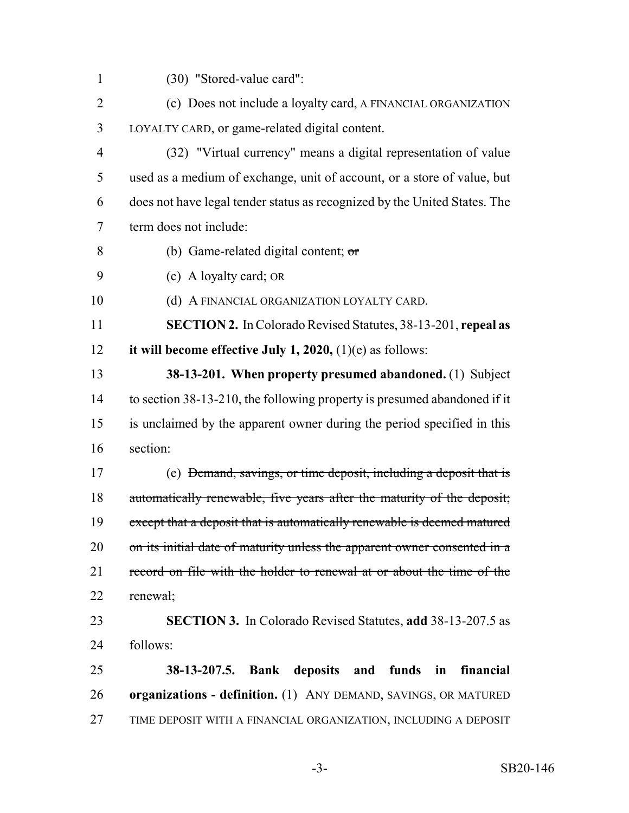- (30) "Stored-value card":
- 2 (c) Does not include a loyalty card, A FINANCIAL ORGANIZATION LOYALTY CARD, or game-related digital content.
- (32) "Virtual currency" means a digital representation of value used as a medium of exchange, unit of account, or a store of value, but does not have legal tender status as recognized by the United States. The term does not include:
- (b) Game-related digital content; or
- (c) A loyalty card; OR
- 10 (d) A FINANCIAL ORGANIZATION LOYALTY CARD.
- **SECTION 2.** In Colorado Revised Statutes, 38-13-201, **repeal as it will become effective July 1, 2020,** (1)(e) as follows:
- **38-13-201. When property presumed abandoned.** (1) Subject to section 38-13-210, the following property is presumed abandoned if it is unclaimed by the apparent owner during the period specified in this section:
- (e) Demand, savings, or time deposit, including a deposit that is automatically renewable, five years after the maturity of the deposit; 19 except that a deposit that is automatically renewable is deemed matured 20 on its initial date of maturity unless the apparent owner consented in a 21 record on file with the holder to renewal at or about the time of the renewal;
- **SECTION 3.** In Colorado Revised Statutes, **add** 38-13-207.5 as follows:
- **38-13-207.5. Bank deposits and funds in financial organizations - definition.** (1) ANY DEMAND, SAVINGS, OR MATURED TIME DEPOSIT WITH A FINANCIAL ORGANIZATION, INCLUDING A DEPOSIT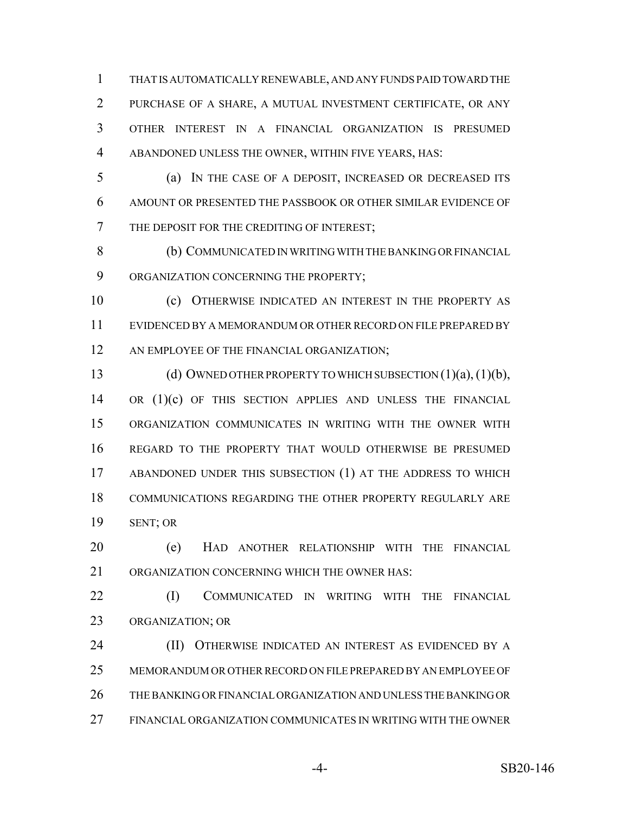THAT IS AUTOMATICALLY RENEWABLE, AND ANY FUNDS PAID TOWARD THE PURCHASE OF A SHARE, A MUTUAL INVESTMENT CERTIFICATE, OR ANY OTHER INTEREST IN A FINANCIAL ORGANIZATION IS PRESUMED ABANDONED UNLESS THE OWNER, WITHIN FIVE YEARS, HAS:

 (a) IN THE CASE OF A DEPOSIT, INCREASED OR DECREASED ITS AMOUNT OR PRESENTED THE PASSBOOK OR OTHER SIMILAR EVIDENCE OF 7 THE DEPOSIT FOR THE CREDITING OF INTEREST;

 (b) COMMUNICATED IN WRITING WITH THE BANKING OR FINANCIAL ORGANIZATION CONCERNING THE PROPERTY;

 (c) OTHERWISE INDICATED AN INTEREST IN THE PROPERTY AS EVIDENCED BY A MEMORANDUM OR OTHER RECORD ON FILE PREPARED BY 12 AN EMPLOYEE OF THE FINANCIAL ORGANIZATION;

13 (d) OWNED OTHER PROPERTY TO WHICH SUBSECTION (1)(a), (1)(b), 14 OR (1)(c) OF THIS SECTION APPLIES AND UNLESS THE FINANCIAL ORGANIZATION COMMUNICATES IN WRITING WITH THE OWNER WITH REGARD TO THE PROPERTY THAT WOULD OTHERWISE BE PRESUMED ABANDONED UNDER THIS SUBSECTION (1) AT THE ADDRESS TO WHICH COMMUNICATIONS REGARDING THE OTHER PROPERTY REGULARLY ARE SENT; OR

 (e) HAD ANOTHER RELATIONSHIP WITH THE FINANCIAL ORGANIZATION CONCERNING WHICH THE OWNER HAS:

**(I) COMMUNICATED IN WRITING WITH THE FINANCIAL** ORGANIZATION; OR

**(II) OTHERWISE INDICATED AN INTEREST AS EVIDENCED BY A**  MEMORANDUM OR OTHER RECORD ON FILE PREPARED BY AN EMPLOYEE OF THE BANKING OR FINANCIAL ORGANIZATION AND UNLESS THE BANKING OR FINANCIAL ORGANIZATION COMMUNICATES IN WRITING WITH THE OWNER